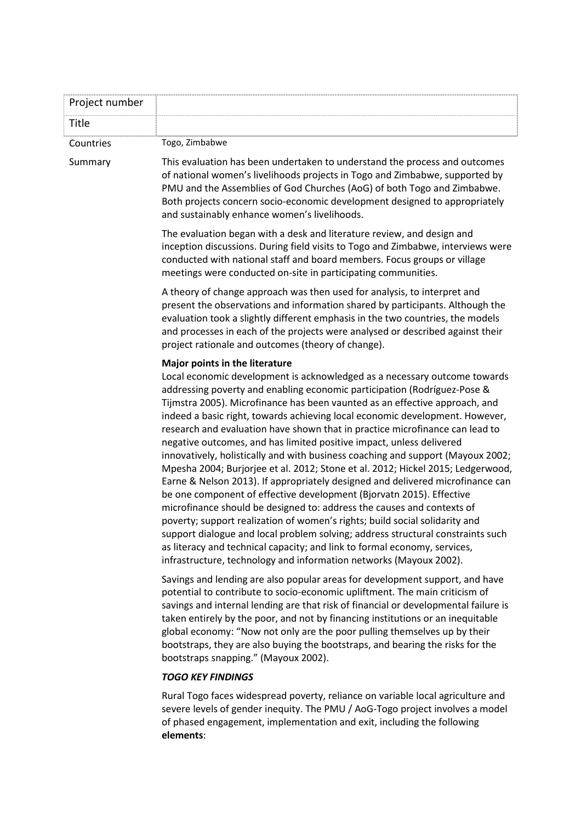| Project number |                                                                                                                                                                                                                                                                                                                                                                                                                                                                                                                                                                                                                                                                                                                                                                                                                                                                                                                                                                                                                                                                                                                                                                                                             |
|----------------|-------------------------------------------------------------------------------------------------------------------------------------------------------------------------------------------------------------------------------------------------------------------------------------------------------------------------------------------------------------------------------------------------------------------------------------------------------------------------------------------------------------------------------------------------------------------------------------------------------------------------------------------------------------------------------------------------------------------------------------------------------------------------------------------------------------------------------------------------------------------------------------------------------------------------------------------------------------------------------------------------------------------------------------------------------------------------------------------------------------------------------------------------------------------------------------------------------------|
| Title          |                                                                                                                                                                                                                                                                                                                                                                                                                                                                                                                                                                                                                                                                                                                                                                                                                                                                                                                                                                                                                                                                                                                                                                                                             |
| Countries      | Togo, Zimbabwe                                                                                                                                                                                                                                                                                                                                                                                                                                                                                                                                                                                                                                                                                                                                                                                                                                                                                                                                                                                                                                                                                                                                                                                              |
| Summary        | This evaluation has been undertaken to understand the process and outcomes<br>of national women's livelihoods projects in Togo and Zimbabwe, supported by<br>PMU and the Assemblies of God Churches (AoG) of both Togo and Zimbabwe.<br>Both projects concern socio-economic development designed to appropriately<br>and sustainably enhance women's livelihoods.                                                                                                                                                                                                                                                                                                                                                                                                                                                                                                                                                                                                                                                                                                                                                                                                                                          |
|                | The evaluation began with a desk and literature review, and design and<br>inception discussions. During field visits to Togo and Zimbabwe, interviews were<br>conducted with national staff and board members. Focus groups or village<br>meetings were conducted on-site in participating communities.                                                                                                                                                                                                                                                                                                                                                                                                                                                                                                                                                                                                                                                                                                                                                                                                                                                                                                     |
|                | A theory of change approach was then used for analysis, to interpret and<br>present the observations and information shared by participants. Although the<br>evaluation took a slightly different emphasis in the two countries, the models<br>and processes in each of the projects were analysed or described against their<br>project rationale and outcomes (theory of change).                                                                                                                                                                                                                                                                                                                                                                                                                                                                                                                                                                                                                                                                                                                                                                                                                         |
|                | Major points in the literature                                                                                                                                                                                                                                                                                                                                                                                                                                                                                                                                                                                                                                                                                                                                                                                                                                                                                                                                                                                                                                                                                                                                                                              |
|                | Local economic development is acknowledged as a necessary outcome towards<br>addressing poverty and enabling economic participation (Rodríguez-Pose &<br>Tijmstra 2005). Microfinance has been vaunted as an effective approach, and<br>indeed a basic right, towards achieving local economic development. However,<br>research and evaluation have shown that in practice microfinance can lead to<br>negative outcomes, and has limited positive impact, unless delivered<br>innovatively, holistically and with business coaching and support (Mayoux 2002;<br>Mpesha 2004; Burjorjee et al. 2012; Stone et al. 2012; Hickel 2015; Ledgerwood,<br>Earne & Nelson 2013). If appropriately designed and delivered microfinance can<br>be one component of effective development (Bjorvatn 2015). Effective<br>microfinance should be designed to: address the causes and contexts of<br>poverty; support realization of women's rights; build social solidarity and<br>support dialogue and local problem solving; address structural constraints such<br>as literacy and technical capacity; and link to formal economy, services,<br>infrastructure, technology and information networks (Mayoux 2002). |
|                | Savings and lending are also popular areas for development support, and have<br>potential to contribute to socio-economic upliftment. The main criticism of<br>savings and internal lending are that risk of financial or developmental failure is<br>taken entirely by the poor, and not by financing institutions or an inequitable<br>global economy: "Now not only are the poor pulling themselves up by their<br>bootstraps, they are also buying the bootstraps, and bearing the risks for the<br>bootstraps snapping." (Mayoux 2002).                                                                                                                                                                                                                                                                                                                                                                                                                                                                                                                                                                                                                                                                |
|                | <b>TOGO KEY FINDINGS</b>                                                                                                                                                                                                                                                                                                                                                                                                                                                                                                                                                                                                                                                                                                                                                                                                                                                                                                                                                                                                                                                                                                                                                                                    |
|                | Rural Togo faces widespread poverty, reliance on variable local agriculture and<br>severe levels of gender inequity. The PMU / AoG-Togo project involves a model<br>of phased engagement, implementation and exit, including the following<br>elements:                                                                                                                                                                                                                                                                                                                                                                                                                                                                                                                                                                                                                                                                                                                                                                                                                                                                                                                                                     |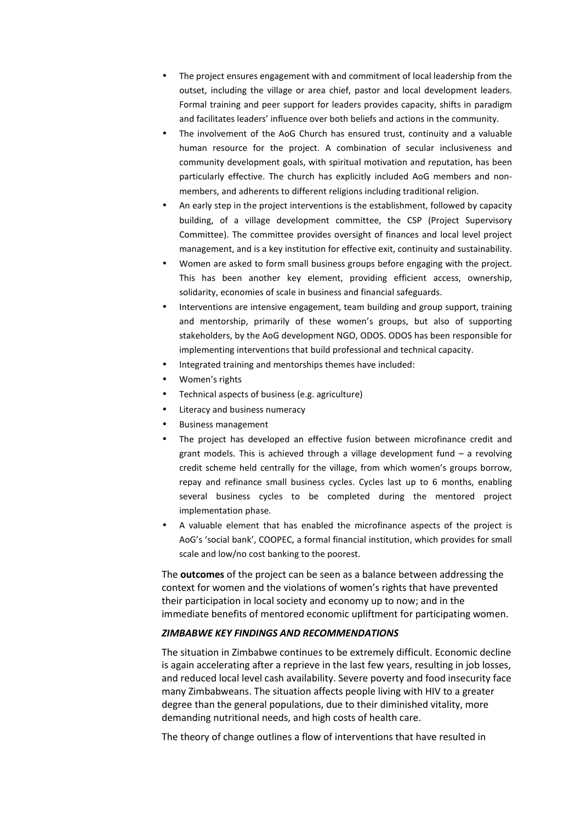- The project ensures engagement with and commitment of local leadership from the outset, including the village or area chief, pastor and local development leaders. Formal training and peer support for leaders provides capacity, shifts in paradigm and facilitates leaders' influence over both beliefs and actions in the community.
- The involvement of the AoG Church has ensured trust, continuity and a valuable human resource for the project. A combination of secular inclusiveness and community development goals, with spiritual motivation and reputation, has been particularly effective. The church has explicitly included AoG members and nonmembers, and adherents to different religions including traditional religion.
- An early step in the project interventions is the establishment, followed by capacity building, of a village development committee, the CSP (Project Supervisory Committee). The committee provides oversight of finances and local level project management, and is a key institution for effective exit, continuity and sustainability.
- Women are asked to form small business groups before engaging with the project. This has been another key element, providing efficient access, ownership, solidarity, economies of scale in business and financial safeguards.
- Interventions are intensive engagement, team building and group support, training and mentorship, primarily of these women's groups, but also of supporting stakeholders, by the AoG development NGO, ODOS. ODOS has been responsible for implementing interventions that build professional and technical capacity.
- Integrated training and mentorships themes have included:
- Women's rights
- Technical aspects of business (e.g. agriculture)
- Literacy and business numeracy
- Business management
- The project has developed an effective fusion between microfinance credit and grant models. This is achieved through a village development fund – a revolving credit scheme held centrally for the village, from which women's groups borrow, repay and refinance small business cycles. Cycles last up to 6 months, enabling several business cycles to be completed during the mentored project implementation phase.
- A valuable element that has enabled the microfinance aspects of the project is AoG's 'social bank', COOPEC, a formal financial institution, which provides for small scale and low/no cost banking to the poorest.

The **outcomes** of the project can be seen as a balance between addressing the context for women and the violations of women's rights that have prevented their participation in local society and economy up to now; and in the immediate benefits of mentored economic upliftment for participating women.

## *ZIMBABWE KEY FINDINGS AND RECOMMENDATIONS*

The situation in Zimbabwe continues to be extremely difficult. Economic decline is again accelerating after a reprieve in the last few years, resulting in job losses, and reduced local level cash availability. Severe poverty and food insecurity face many Zimbabweans. The situation affects people living with HIV to a greater degree than the general populations, due to their diminished vitality, more demanding nutritional needs, and high costs of health care.

The theory of change outlines a flow of interventions that have resulted in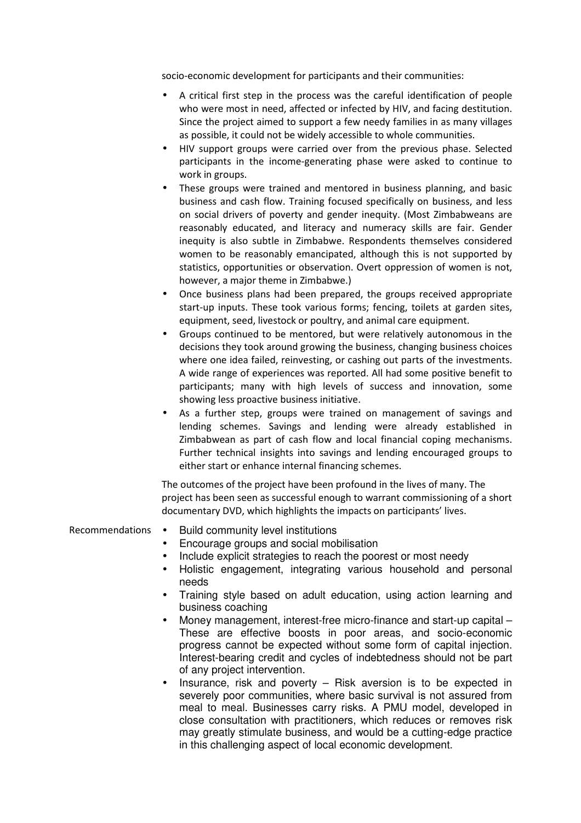socio-economic development for participants and their communities:

- A critical first step in the process was the careful identification of people who were most in need, affected or infected by HIV, and facing destitution. Since the project aimed to support a few needy families in as many villages as possible, it could not be widely accessible to whole communities.
- HIV support groups were carried over from the previous phase. Selected participants in the income-generating phase were asked to continue to work in groups.
- These groups were trained and mentored in business planning, and basic business and cash flow. Training focused specifically on business, and less on social drivers of poverty and gender inequity. (Most Zimbabweans are reasonably educated, and literacy and numeracy skills are fair. Gender inequity is also subtle in Zimbabwe. Respondents themselves considered women to be reasonably emancipated, although this is not supported by statistics, opportunities or observation. Overt oppression of women is not, however, a major theme in Zimbabwe.)
- Once business plans had been prepared, the groups received appropriate start-up inputs. These took various forms; fencing, toilets at garden sites, equipment, seed, livestock or poultry, and animal care equipment.
- Groups continued to be mentored, but were relatively autonomous in the decisions they took around growing the business, changing business choices where one idea failed, reinvesting, or cashing out parts of the investments. A wide range of experiences was reported. All had some positive benefit to participants; many with high levels of success and innovation, some showing less proactive business initiative.
- As a further step, groups were trained on management of savings and lending schemes. Savings and lending were already established in Zimbabwean as part of cash flow and local financial coping mechanisms. Further technical insights into savings and lending encouraged groups to either start or enhance internal financing schemes.

The outcomes of the project have been profound in the lives of many. The project has been seen as successful enough to warrant commissioning of a short documentary DVD, which highlights the impacts on participants' lives.

Recommendations • Build community level institutions

- Encourage groups and social mobilisation
- Include explicit strategies to reach the poorest or most needy
- Holistic engagement, integrating various household and personal needs
- Training style based on adult education, using action learning and business coaching
- Money management, interest-free micro-finance and start-up capital These are effective boosts in poor areas, and socio-economic progress cannot be expected without some form of capital injection. Interest-bearing credit and cycles of indebtedness should not be part of any project intervention.
- Insurance, risk and poverty  $-$  Risk aversion is to be expected in severely poor communities, where basic survival is not assured from meal to meal. Businesses carry risks. A PMU model, developed in close consultation with practitioners, which reduces or removes risk may greatly stimulate business, and would be a cutting-edge practice in this challenging aspect of local economic development.